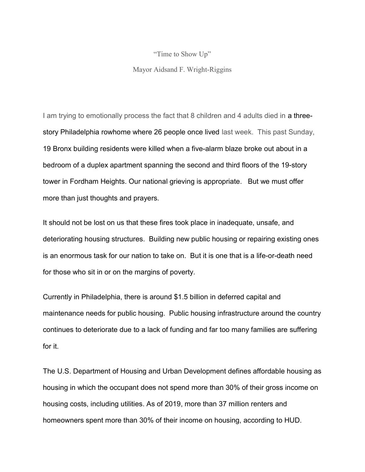"Time to Show Up"

Mayor Aidsand F. Wright-Riggins

I am trying to emotionally process the fact that 8 children and 4 adults died in a threestory Philadelphia rowhome where 26 people once lived last week. This past Sunday, 19 Bronx building residents were killed when a five-alarm blaze broke out about in a bedroom of a duplex apartment spanning the second and third floors of the 19-story tower in Fordham Heights. Our national grieving is appropriate. But we must offer more than just thoughts and prayers.

It should not be lost on us that these fires took place in inadequate, unsafe, and deteriorating housing structures. Building new public housing or repairing existing ones is an enormous task for our nation to take on. But it is one that is a life-or-death need for those who sit in or on the margins of poverty.

Currently in Philadelphia, there is around \$1.5 billion in deferred capital and maintenance needs for public housing. Public housing infrastructure around the country continues to deteriorate due to a lack of funding and far too many families are suffering for it.

The U.S. Department of Housing and Urban Development defines affordable housing as housing in which the occupant does not spend more than 30% of their gross income on housing costs, including utilities. As of 2019, more than 37 million renters and homeowners spent more than 30% of their income on housing, according to HUD.